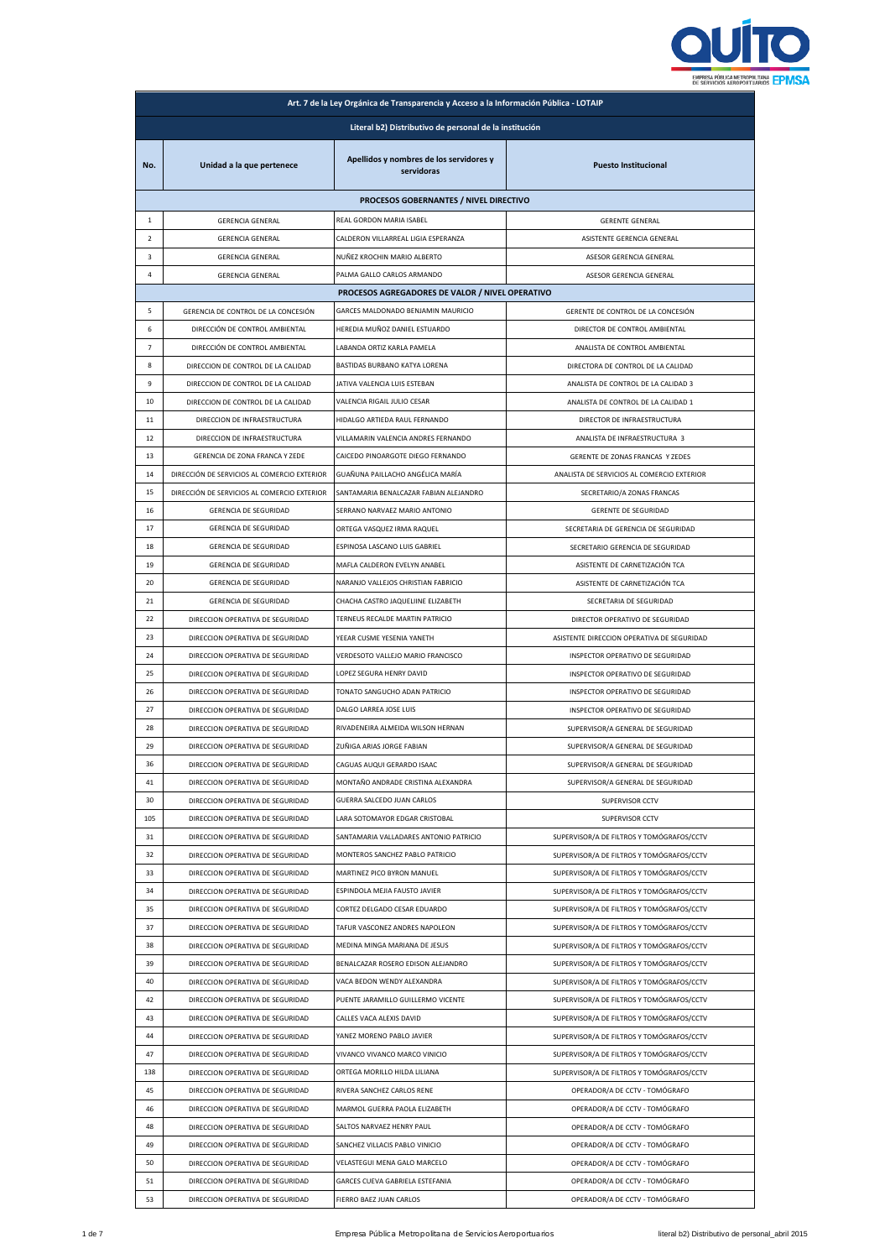

| Art. 7 de la Ley Orgánica de Transparencia y Acceso a la Información Pública - LOTAIP |                                                 |                                                       |                                            |  |  |
|---------------------------------------------------------------------------------------|-------------------------------------------------|-------------------------------------------------------|--------------------------------------------|--|--|
| Literal b2) Distributivo de personal de la institución                                |                                                 |                                                       |                                            |  |  |
| No.                                                                                   | Unidad a la que pertenece                       | Apellidos y nombres de los servidores y<br>servidoras | <b>Puesto Institucional</b>                |  |  |
|                                                                                       | PROCESOS GOBERNANTES / NIVEL DIRECTIVO          |                                                       |                                            |  |  |
| $\mathbf{1}$                                                                          | <b>GERENCIA GENERAL</b>                         | REAL GORDON MARIA ISABEL                              | <b>GERENTE GENERAL</b>                     |  |  |
| $\overline{2}$                                                                        | <b>GERENCIA GENERAL</b>                         | CALDERON VILLARREAL LIGIA ESPERANZA                   | ASISTENTE GERENCIA GENERAL                 |  |  |
| 3                                                                                     | <b>GERENCIA GENERAL</b>                         | NUÑEZ KROCHIN MARIO ALBERTO                           | ASESOR GERENCIA GENERAL                    |  |  |
| 4                                                                                     | <b>GERENCIA GENERAL</b>                         | PALMA GALLO CARLOS ARMANDO                            | ASESOR GERENCIA GENERAL                    |  |  |
|                                                                                       | PROCESOS AGREGADORES DE VALOR / NIVEL OPERATIVO |                                                       |                                            |  |  |
| 5                                                                                     | GERENCIA DE CONTROL DE LA CONCESIÓN             | GARCES MALDONADO BENJAMIN MAURICIO                    | GERENTE DE CONTROL DE LA CONCESIÓN         |  |  |
| 6                                                                                     | DIRECCIÓN DE CONTROL AMBIENTAL                  | HEREDIA MUÑOZ DANIEL ESTUARDO                         | DIRECTOR DE CONTROL AMBIENTAL              |  |  |
| $\overline{7}$                                                                        | DIRECCIÓN DE CONTROL AMBIENTAL                  | LABANDA ORTIZ KARLA PAMELA                            | ANALISTA DE CONTROL AMBIENTAL              |  |  |
| 8                                                                                     | DIRECCION DE CONTROL DE LA CALIDAD              | BASTIDAS BURBANO KATYA LORENA                         | DIRECTORA DE CONTROL DE LA CALIDAD         |  |  |
| 9                                                                                     | DIRECCION DE CONTROL DE LA CALIDAD              | JATIVA VALENCIA LUIS ESTEBAN                          | ANALISTA DE CONTROL DE LA CALIDAD 3        |  |  |
| 10                                                                                    | DIRECCION DE CONTROL DE LA CALIDAD              | VALENCIA RIGAIL JULIO CESAR                           | ANALISTA DE CONTROL DE LA CALIDAD 1        |  |  |
| 11                                                                                    | DIRECCION DE INFRAESTRUCTURA                    | HIDALGO ARTIEDA RAUL FERNANDO                         | DIRECTOR DE INFRAESTRUCTURA                |  |  |
| 12                                                                                    | DIRECCION DE INFRAESTRUCTURA                    | VILLAMARIN VALENCIA ANDRES FERNANDO                   | ANALISTA DE INFRAESTRUCTURA 3              |  |  |
| 13                                                                                    | GERENCIA DE ZONA FRANCA Y ZEDE                  | CAICEDO PINOARGOTE DIEGO FERNANDO                     | GERENTE DE ZONAS FRANCAS Y ZEDES           |  |  |
| 14                                                                                    | DIRECCIÓN DE SERVICIOS AL COMERCIO EXTERIOR     | GUAÑUNA PAILLACHO ANGÉLICA MARÍA                      | ANALISTA DE SERVICIOS AL COMERCIO EXTERIOR |  |  |
| 15                                                                                    | DIRECCIÓN DE SERVICIOS AL COMERCIO EXTERIOR     | SANTAMARIA BENALCAZAR FABIAN ALEJANDRO                | SECRETARIO/A ZONAS FRANCAS                 |  |  |
| 16                                                                                    | <b>GERENCIA DE SEGURIDAD</b>                    | SERRANO NARVAEZ MARIO ANTONIO                         | <b>GERENTE DE SEGURIDAD</b>                |  |  |
|                                                                                       |                                                 |                                                       |                                            |  |  |
| 17                                                                                    | <b>GERENCIA DE SEGURIDAD</b>                    | ORTEGA VASQUEZ IRMA RAQUEL                            | SECRETARIA DE GERENCIA DE SEGURIDAD        |  |  |
| 18                                                                                    | <b>GERENCIA DE SEGURIDAD</b>                    | ESPINOSA LASCANO LUIS GABRIEL                         | SECRETARIO GERENCIA DE SEGURIDAD           |  |  |
| 19                                                                                    | <b>GERENCIA DE SEGURIDAD</b>                    | MAFLA CALDERON EVELYN ANABEL                          | ASISTENTE DE CARNETIZACIÓN TCA             |  |  |
| 20                                                                                    | <b>GERENCIA DE SEGURIDAD</b>                    | NARANJO VALLEJOS CHRISTIAN FABRICIO                   | ASISTENTE DE CARNETIZACIÓN TCA             |  |  |
| 21                                                                                    | <b>GERENCIA DE SEGURIDAD</b>                    | CHACHA CASTRO JAQUELIINE ELIZABETH                    | SECRETARIA DE SEGURIDAD                    |  |  |
| 22                                                                                    | DIRECCION OPERATIVA DE SEGURIDAD                | TERNEUS RECALDE MARTIN PATRICIO                       | DIRECTOR OPERATIVO DE SEGURIDAD            |  |  |
| 23                                                                                    | DIRECCION OPERATIVA DE SEGURIDAD                | YEEAR CUSME YESENIA YANETH                            | ASISTENTE DIRECCION OPERATIVA DE SEGURIDAD |  |  |
| 24                                                                                    | DIRECCION OPERATIVA DE SEGURIDAD                | VERDESOTO VALLEJO MARIO FRANCISCO                     | INSPECTOR OPERATIVO DE SEGURIDAD           |  |  |
| 25                                                                                    | DIRECCION OPERATIVA DE SEGURIDAD                | LOPEZ SEGURA HENRY DAVID                              | INSPECTOR OPERATIVO DE SEGURIDAD           |  |  |
| 26                                                                                    | DIRECCION OPERATIVA DE SEGURIDAD                | TONATO SANGUCHO ADAN PATRICIO                         | INSPECTOR OPERATIVO DE SEGURIDAD           |  |  |
| 27                                                                                    | DIRECCION OPERATIVA DE SEGURIDAD                | DALGO LARREA JOSE LUIS                                | INSPECTOR OPERATIVO DE SEGURIDAD           |  |  |
| 28                                                                                    | DIRECCION OPERATIVA DE SEGURIDAD                | RIVADENEIRA ALMEIDA WILSON HERNAN                     | SUPERVISOR/A GENERAL DE SEGURIDAD          |  |  |
| 29                                                                                    | DIRECCION OPERATIVA DE SEGURIDAD                | ZUÑIGA ARIAS JORGE FABIAN                             | SUPERVISOR/A GENERAL DE SEGURIDAD          |  |  |
| 36                                                                                    | DIRECCION OPERATIVA DE SEGURIDAD                | CAGUAS AUQUI GERARDO ISAAC                            | SUPERVISOR/A GENERAL DE SEGURIDAD          |  |  |
| 41                                                                                    | DIRECCION OPERATIVA DE SEGURIDAD                | MONTAÑO ANDRADE CRISTINA ALEXANDRA                    | SUPERVISOR/A GENERAL DE SEGURIDAD          |  |  |
| 30                                                                                    | DIRECCION OPERATIVA DE SEGURIDAD                | GUERRA SALCEDO JUAN CARLOS                            | SUPERVISOR CCTV                            |  |  |
| 105                                                                                   | DIRECCION OPERATIVA DE SEGURIDAD                | LARA SOTOMAYOR EDGAR CRISTOBAL                        | SUPERVISOR CCTV                            |  |  |
| 31                                                                                    | DIRECCION OPERATIVA DE SEGURIDAD                | SANTAMARIA VALLADARES ANTONIO PATRICIO                | SUPERVISOR/A DE FILTROS Y TOMÓGRAFOS/CCTV  |  |  |
| 32                                                                                    | DIRECCION OPERATIVA DE SEGURIDAD                | MONTEROS SANCHEZ PABLO PATRICIO                       | SUPERVISOR/A DE FILTROS Y TOMÓGRAFOS/CCTV  |  |  |
| 33                                                                                    | DIRECCION OPERATIVA DE SEGURIDAD                | MARTINEZ PICO BYRON MANUEL                            | SUPERVISOR/A DE FILTROS Y TOMÓGRAFOS/CCTV  |  |  |
| 34                                                                                    | DIRECCION OPERATIVA DE SEGURIDAD                | ESPINDOLA MEJIA FAUSTO JAVIER                         | SUPERVISOR/A DE FILTROS Y TOMÓGRAFOS/CCTV  |  |  |
| 35                                                                                    | DIRECCION OPERATIVA DE SEGURIDAD                | CORTEZ DELGADO CESAR EDUARDO                          | SUPERVISOR/A DE FILTROS Y TOMÓGRAFOS/CCTV  |  |  |
| 37                                                                                    | DIRECCION OPERATIVA DE SEGURIDAD                | TAFUR VASCONEZ ANDRES NAPOLEON                        | SUPERVISOR/A DE FILTROS Y TOMÓGRAFOS/CCTV  |  |  |
| 38                                                                                    | DIRECCION OPERATIVA DE SEGURIDAD                | MEDINA MINGA MARIANA DE JESUS                         | SUPERVISOR/A DE FILTROS Y TOMÓGRAFOS/CCTV  |  |  |
| 39                                                                                    | DIRECCION OPERATIVA DE SEGURIDAD                | BENALCAZAR ROSERO EDISON ALEJANDRO                    | SUPERVISOR/A DE FILTROS Y TOMÓGRAFOS/CCTV  |  |  |
| 40                                                                                    | DIRECCION OPERATIVA DE SEGURIDAD                | VACA BEDON WENDY ALEXANDRA                            | SUPERVISOR/A DE FILTROS Y TOMÓGRAFOS/CCTV  |  |  |
| 42                                                                                    | DIRECCION OPERATIVA DE SEGURIDAD                | PUENTE JARAMILLO GUILLERMO VICENTE                    | SUPERVISOR/A DE FILTROS Y TOMÓGRAFOS/CCTV  |  |  |
| 43                                                                                    | DIRECCION OPERATIVA DE SEGURIDAD                | CALLES VACA ALEXIS DAVID                              | SUPERVISOR/A DE FILTROS Y TOMÓGRAFOS/CCTV  |  |  |
| 44                                                                                    | DIRECCION OPERATIVA DE SEGURIDAD                | YANEZ MORENO PABLO JAVIER                             | SUPERVISOR/A DE FILTROS Y TOMÓGRAFOS/CCTV  |  |  |
| 47                                                                                    | DIRECCION OPERATIVA DE SEGURIDAD                | VIVANCO VIVANCO MARCO VINICIO                         | SUPERVISOR/A DE FILTROS Y TOMÓGRAFOS/CCTV  |  |  |
|                                                                                       |                                                 |                                                       |                                            |  |  |
| 138                                                                                   | DIRECCION OPERATIVA DE SEGURIDAD                | ORTEGA MORILLO HILDA LILIANA                          | SUPERVISOR/A DE FILTROS Y TOMÓGRAFOS/CCTV  |  |  |
| 45                                                                                    | DIRECCION OPERATIVA DE SEGURIDAD                | RIVERA SANCHEZ CARLOS RENE                            | OPERADOR/A DE CCTV - TOMÓGRAFO             |  |  |
| 46                                                                                    | DIRECCION OPERATIVA DE SEGURIDAD                | MARMOL GUERRA PAOLA ELIZABETH                         | OPERADOR/A DE CCTV - TOMÓGRAFO             |  |  |
| 48                                                                                    | DIRECCION OPERATIVA DE SEGURIDAD                | SALTOS NARVAEZ HENRY PAUL                             | OPERADOR/A DE CCTV - TOMÓGRAFO             |  |  |
| 49                                                                                    | DIRECCION OPERATIVA DE SEGURIDAD                | SANCHEZ VILLACIS PABLO VINICIO                        | OPERADOR/A DE CCTV - TOMÓGRAFO             |  |  |
| 50                                                                                    | DIRECCION OPERATIVA DE SEGURIDAD                | VELASTEGUI MENA GALO MARCELO                          | OPERADOR/A DE CCTV - TOMÓGRAFO             |  |  |
| 51                                                                                    | DIRECCION OPERATIVA DE SEGURIDAD                | GARCES CUEVA GABRIELA ESTEFANIA                       | OPERADOR/A DE CCTV - TOMÓGRAFO             |  |  |
| 53                                                                                    | DIRECCION OPERATIVA DE SEGURIDAD                | FIERRO BAEZ JUAN CARLOS                               | OPERADOR/A DE CCTV - TOMÓGRAFO             |  |  |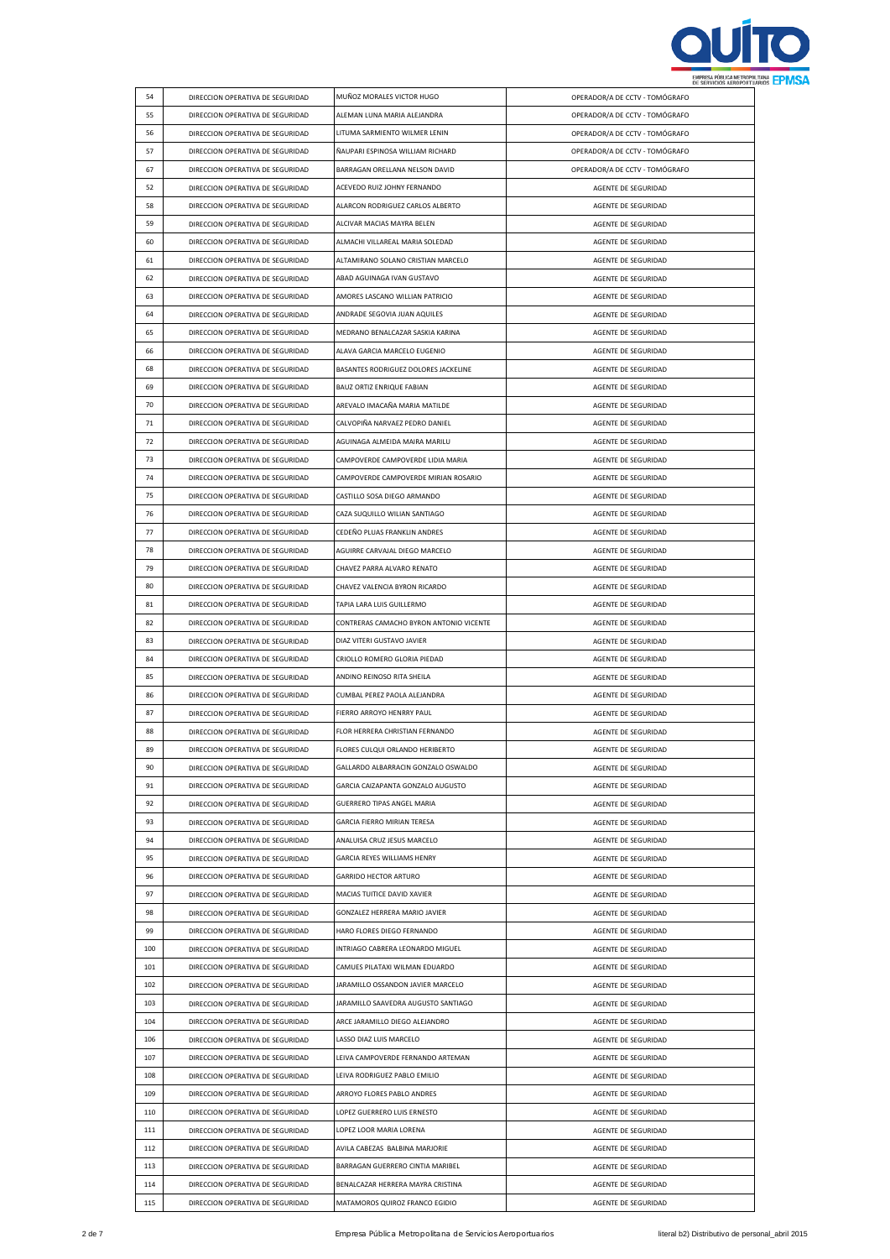

| 54  | DIRECCION OPERATIVA DE SEGURIDAD | MUÑOZ MORALES VICTOR HUGO               | OPERADOR/A DE CCTV - TOMÓGRAFO |
|-----|----------------------------------|-----------------------------------------|--------------------------------|
| 55  | DIRECCION OPERATIVA DE SEGURIDAD | ALEMAN LUNA MARIA ALEJANDRA             | OPERADOR/A DE CCTV - TOMÓGRAFO |
| 56  | DIRECCION OPERATIVA DE SEGURIDAD | LITUMA SARMIENTO WILMER LENIN           | OPERADOR/A DE CCTV - TOMÓGRAFO |
| 57  | DIRECCION OPERATIVA DE SEGURIDAD | ÑAUPARI ESPINOSA WILLIAM RICHARD        | OPERADOR/A DE CCTV - TOMÓGRAFO |
|     |                                  |                                         |                                |
| 67  | DIRECCION OPERATIVA DE SEGURIDAD | BARRAGAN ORELLANA NELSON DAVID          | OPERADOR/A DE CCTV - TOMÓGRAFO |
| 52  | DIRECCION OPERATIVA DE SEGURIDAD | ACEVEDO RUIZ JOHNY FERNANDO             | AGENTE DE SEGURIDAD            |
| 58  | DIRECCION OPERATIVA DE SEGURIDAD | ALARCON RODRIGUEZ CARLOS ALBERTO        | AGENTE DE SEGURIDAD            |
| 59  | DIRECCION OPERATIVA DE SEGURIDAD | ALCIVAR MACIAS MAYRA BELEN              | AGENTE DE SEGURIDAD            |
| 60  | DIRECCION OPERATIVA DE SEGURIDAD | ALMACHI VILLAREAL MARIA SOLEDAD         | AGENTE DE SEGURIDAD            |
| 61  | DIRECCION OPERATIVA DE SEGURIDAD | ALTAMIRANO SOLANO CRISTIAN MARCELO      | AGENTE DE SEGURIDAD            |
| 62  | DIRECCION OPERATIVA DE SEGURIDAD | ABAD AGUINAGA IVAN GUSTAVO              | AGENTE DE SEGURIDAD            |
| 63  | DIRECCION OPERATIVA DE SEGURIDAD | AMORES LASCANO WILLIAN PATRICIO         | AGENTE DE SEGURIDAD            |
| 64  | DIRECCION OPERATIVA DE SEGURIDAD | ANDRADE SEGOVIA JUAN AQUILES            | AGENTE DE SEGURIDAD            |
| 65  | DIRECCION OPERATIVA DE SEGURIDAD | MEDRANO BENALCAZAR SASKIA KARINA        | AGENTE DE SEGURIDAD            |
| 66  | DIRECCION OPERATIVA DE SEGURIDAD | ALAVA GARCIA MARCELO EUGENIO            | AGENTE DE SEGURIDAD            |
| 68  | DIRECCION OPERATIVA DE SEGURIDAD | BASANTES RODRIGUEZ DOLORES JACKELINE    | AGENTE DE SEGURIDAD            |
| 69  | DIRECCION OPERATIVA DE SEGURIDAD | BAUZ ORTIZ ENRIQUE FABIAN               | AGENTE DE SEGURIDAD            |
| 70  | DIRECCION OPERATIVA DE SEGURIDAD | AREVALO IMACAÑA MARIA MATILDE           | AGENTE DE SEGURIDAD            |
| 71  | DIRECCION OPERATIVA DE SEGURIDAD | CALVOPIÑA NARVAEZ PEDRO DANIEL          | AGENTE DE SEGURIDAD            |
| 72  | DIRECCION OPERATIVA DE SEGURIDAD | AGUINAGA ALMEIDA MAIRA MARILU           | AGENTE DE SEGURIDAD            |
|     |                                  |                                         |                                |
| 73  | DIRECCION OPERATIVA DE SEGURIDAD | CAMPOVERDE CAMPOVERDE LIDIA MARIA       | AGENTE DE SEGURIDAD            |
| 74  | DIRECCION OPERATIVA DE SEGURIDAD | CAMPOVERDE CAMPOVERDE MIRIAN ROSARIO    | AGENTE DE SEGURIDAD            |
| 75  | DIRECCION OPERATIVA DE SEGURIDAD | CASTILLO SOSA DIEGO ARMANDO             | AGENTE DE SEGURIDAD            |
| 76  | DIRECCION OPERATIVA DE SEGURIDAD | CAZA SUQUILLO WILIAN SANTIAGO           | AGENTE DE SEGURIDAD            |
| 77  | DIRECCION OPERATIVA DE SEGURIDAD | CEDEÑO PLUAS FRANKLIN ANDRES            | AGENTE DE SEGURIDAD            |
| 78  | DIRECCION OPERATIVA DE SEGURIDAD | AGUIRRE CARVAJAL DIEGO MARCELO          | AGENTE DE SEGURIDAD            |
| 79  | DIRECCION OPERATIVA DE SEGURIDAD | CHAVEZ PARRA ALVARO RENATO              | AGENTE DE SEGURIDAD            |
| 80  | DIRECCION OPERATIVA DE SEGURIDAD | CHAVEZ VALENCIA BYRON RICARDO           | AGENTE DE SEGURIDAD            |
| 81  | DIRECCION OPERATIVA DE SEGURIDAD | TAPIA LARA LUIS GUILLERMO               | AGENTE DE SEGURIDAD            |
| 82  | DIRECCION OPERATIVA DE SEGURIDAD | CONTRERAS CAMACHO BYRON ANTONIO VICENTE | AGENTE DE SEGURIDAD            |
| 83  | DIRECCION OPERATIVA DE SEGURIDAD | DIAZ VITERI GUSTAVO JAVIER              | AGENTE DE SEGURIDAD            |
| 84  | DIRECCION OPERATIVA DE SEGURIDAD | CRIOLLO ROMERO GLORIA PIEDAD            | AGENTE DE SEGURIDAD            |
| 85  | DIRECCION OPERATIVA DE SEGURIDAD | ANDINO REINOSO RITA SHEILA              | AGENTE DE SEGURIDAD            |
| 86  | DIRECCION OPERATIVA DE SEGURIDAD | CUMBAL PEREZ PAOLA ALEJANDRA            | AGENTE DE SEGURIDAD            |
| 87  | DIRECCION OPERATIVA DE SEGURIDAD | FIERRO ARROYO HENRRY PAUL               | AGENTE DE SEGURIDAD            |
| 88  | DIRECCION OPERATIVA DE SEGURIDAD | FLOR HERRERA CHRISTIAN FERNANDO         | AGENTE DE SEGURIDAD            |
| 89  | DIRECCION OPERATIVA DE SEGURIDAD | FLORES CULQUI ORLANDO HERIBERTO         | AGENTE DE SEGURIDAD            |
| 90  | DIRECCION OPERATIVA DE SEGURIDAD | GALLARDO ALBARRACIN GONZALO OSWALDO     | AGENTE DE SEGURIDAD            |
| 91  | DIRECCION OPERATIVA DE SEGURIDAD | GARCIA CAIZAPANTA GONZALO AUGUSTO       |                                |
| 92  |                                  | GUERRERO TIPAS ANGEL MARIA              | AGENTE DE SEGURIDAD            |
|     | DIRECCION OPERATIVA DE SEGURIDAD |                                         | AGENTE DE SEGURIDAD            |
| 93  | DIRECCION OPERATIVA DE SEGURIDAD | GARCIA FIERRO MIRIAN TERESA             | AGENTE DE SEGURIDAD            |
| 94  | DIRECCION OPERATIVA DE SEGURIDAD | ANALUISA CRUZ JESUS MARCELO             | AGENTE DE SEGURIDAD            |
| 95  | DIRECCION OPERATIVA DE SEGURIDAD | GARCIA REYES WILLIAMS HENRY             | AGENTE DE SEGURIDAD            |
| 96  | DIRECCION OPERATIVA DE SEGURIDAD | <b>GARRIDO HECTOR ARTURO</b>            | AGENTE DE SEGURIDAD            |
| 97  | DIRECCION OPERATIVA DE SEGURIDAD | MACIAS TUITICE DAVID XAVIER             | AGENTE DE SEGURIDAD            |
| 98  | DIRECCION OPERATIVA DE SEGURIDAD | GONZALEZ HERRERA MARIO JAVIER           | AGENTE DE SEGURIDAD            |
| 99  | DIRECCION OPERATIVA DE SEGURIDAD | HARO FLORES DIEGO FERNANDO              | AGENTE DE SEGURIDAD            |
| 100 | DIRECCION OPERATIVA DE SEGURIDAD | INTRIAGO CABRERA LEONARDO MIGUEL        | AGENTE DE SEGURIDAD            |
| 101 | DIRECCION OPERATIVA DE SEGURIDAD | CAMUES PILATAXI WILMAN EDUARDO          | AGENTE DE SEGURIDAD            |
| 102 | DIRECCION OPERATIVA DE SEGURIDAD | JARAMILLO OSSANDON JAVIER MARCELO       | AGENTE DE SEGURIDAD            |
| 103 | DIRECCION OPERATIVA DE SEGURIDAD | JARAMILLO SAAVEDRA AUGUSTO SANTIAGO     | AGENTE DE SEGURIDAD            |
| 104 | DIRECCION OPERATIVA DE SEGURIDAD | ARCE JARAMILLO DIEGO ALEJANDRO          | AGENTE DE SEGURIDAD            |
| 106 | DIRECCION OPERATIVA DE SEGURIDAD | LASSO DIAZ LUIS MARCELO                 | AGENTE DE SEGURIDAD            |
| 107 | DIRECCION OPERATIVA DE SEGURIDAD | LEIVA CAMPOVERDE FERNANDO ARTEMAN       | AGENTE DE SEGURIDAD            |
| 108 | DIRECCION OPERATIVA DE SEGURIDAD | LEIVA RODRIGUEZ PABLO EMILIO            | AGENTE DE SEGURIDAD            |
| 109 | DIRECCION OPERATIVA DE SEGURIDAD | ARROYO FLORES PABLO ANDRES              | AGENTE DE SEGURIDAD            |
| 110 | DIRECCION OPERATIVA DE SEGURIDAD | LOPEZ GUERRERO LUIS ERNESTO             | AGENTE DE SEGURIDAD            |
| 111 |                                  | LOPEZ LOOR MARIA LORENA                 |                                |
|     | DIRECCION OPERATIVA DE SEGURIDAD |                                         | AGENTE DE SEGURIDAD            |
| 112 | DIRECCION OPERATIVA DE SEGURIDAD | AVILA CABEZAS BALBINA MARJORIE          | AGENTE DE SEGURIDAD            |
| 113 | DIRECCION OPERATIVA DE SEGURIDAD | BARRAGAN GUERRERO CINTIA MARIBEL        | AGENTE DE SEGURIDAD            |
| 114 | DIRECCION OPERATIVA DE SEGURIDAD | BENALCAZAR HERRERA MAYRA CRISTINA       | AGENTE DE SEGURIDAD            |
| 115 | DIRECCION OPERATIVA DE SEGURIDAD | MATAMOROS QUIROZ FRANCO EGIDIO          | AGENTE DE SEGURIDAD            |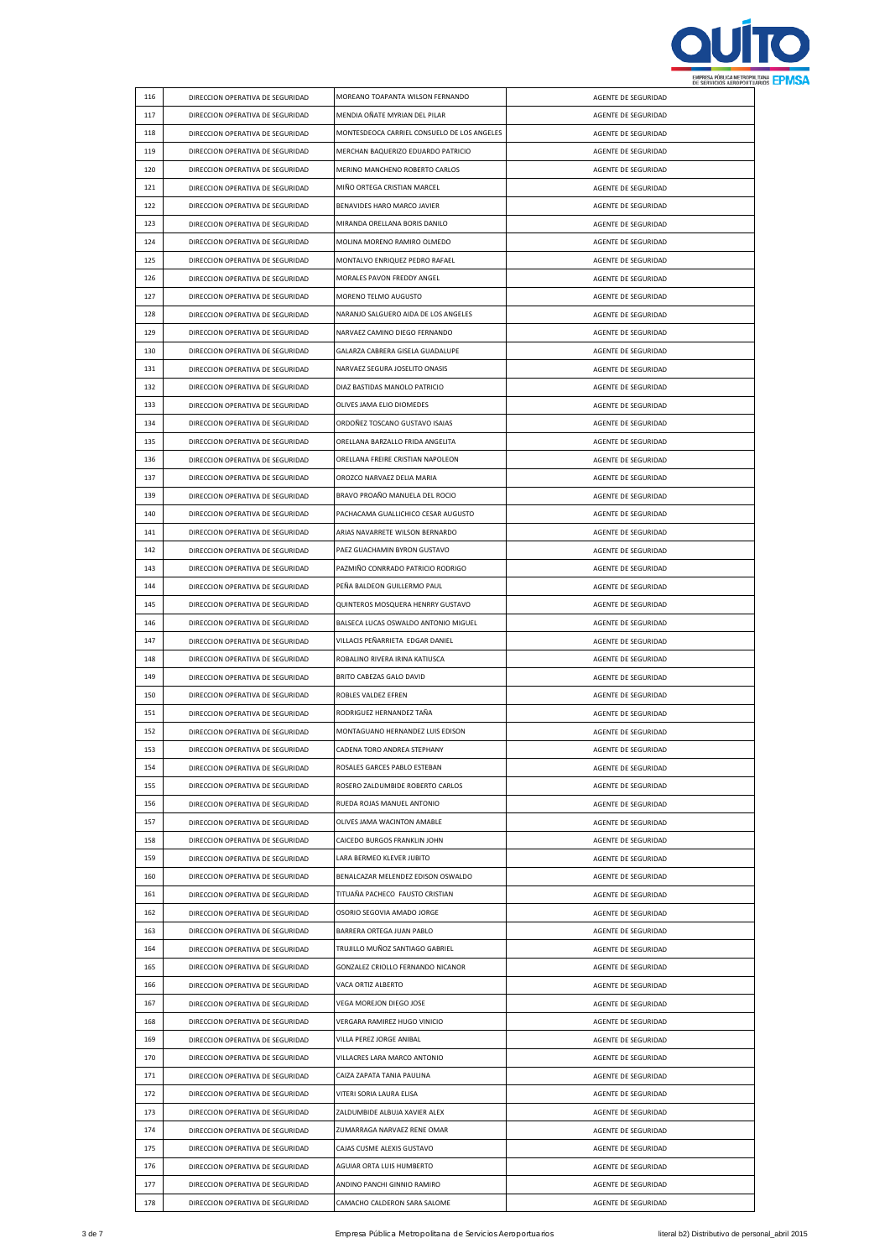

| 116 | DIRECCION OPERATIVA DE SEGURIDAD | MOREANO TOAPANTA WILSON FERNANDO            | AGENTE DE SEGURIDAD |
|-----|----------------------------------|---------------------------------------------|---------------------|
| 117 | DIRECCION OPERATIVA DE SEGURIDAD | MENDIA OÑATE MYRIAN DEL PILAR               | AGENTE DE SEGURIDAD |
| 118 | DIRECCION OPERATIVA DE SEGURIDAD | MONTESDEOCA CARRIEL CONSUELO DE LOS ANGELES | AGENTE DE SEGURIDAD |
| 119 | DIRECCION OPERATIVA DE SEGURIDAD | MERCHAN BAQUERIZO EDUARDO PATRICIO          | AGENTE DE SEGURIDAD |
| 120 | DIRECCION OPERATIVA DE SEGURIDAD | MERINO MANCHENO ROBERTO CARLOS              | AGENTE DE SEGURIDAD |
| 121 | DIRECCION OPERATIVA DE SEGURIDAD | MIÑO ORTEGA CRISTIAN MARCEL                 | AGENTE DE SEGURIDAD |
| 122 | DIRECCION OPERATIVA DE SEGURIDAD | BENAVIDES HARO MARCO JAVIER                 | AGENTE DE SEGURIDAD |
| 123 | DIRECCION OPERATIVA DE SEGURIDAD | MIRANDA ORELLANA BORIS DANILO               | AGENTE DE SEGURIDAD |
| 124 | DIRECCION OPERATIVA DE SEGURIDAD | MOLINA MORENO RAMIRO OLMEDO                 | AGENTE DE SEGURIDAD |
| 125 | DIRECCION OPERATIVA DE SEGURIDAD | MONTALVO ENRIQUEZ PEDRO RAFAEL              | AGENTE DE SEGURIDAD |
| 126 | DIRECCION OPERATIVA DE SEGURIDAD | MORALES PAVON FREDDY ANGEL                  | AGENTE DE SEGURIDAD |
| 127 | DIRECCION OPERATIVA DE SEGURIDAD | MORENO TELMO AUGUSTO                        | AGENTE DE SEGURIDAD |
|     |                                  |                                             |                     |
| 128 | DIRECCION OPERATIVA DE SEGURIDAD | NARANJO SALGUERO AIDA DE LOS ANGELES        | AGENTE DE SEGURIDAD |
| 129 | DIRECCION OPERATIVA DE SEGURIDAD | NARVAEZ CAMINO DIEGO FERNANDO               | AGENTE DE SEGURIDAD |
| 130 | DIRECCION OPERATIVA DE SEGURIDAD | GALARZA CABRERA GISELA GUADALUPE            | AGENTE DE SEGURIDAD |
| 131 | DIRECCION OPERATIVA DE SEGURIDAD | NARVAEZ SEGURA JOSELITO ONASIS              | AGENTE DE SEGURIDAD |
| 132 | DIRECCION OPERATIVA DE SEGURIDAD | DIAZ BASTIDAS MANOLO PATRICIO               | AGENTE DE SEGURIDAD |
| 133 | DIRECCION OPERATIVA DE SEGURIDAD | OLIVES JAMA ELIO DIOMEDES                   | AGENTE DE SEGURIDAD |
| 134 | DIRECCION OPERATIVA DE SEGURIDAD | ORDOÑEZ TOSCANO GUSTAVO ISAIAS              | AGENTE DE SEGURIDAD |
| 135 | DIRECCION OPERATIVA DE SEGURIDAD | ORELLANA BARZALLO FRIDA ANGELITA            | AGENTE DE SEGURIDAD |
| 136 | DIRECCION OPERATIVA DE SEGURIDAD | ORELLANA FREIRE CRISTIAN NAPOLEON           | AGENTE DE SEGURIDAD |
| 137 | DIRECCION OPERATIVA DE SEGURIDAD | OROZCO NARVAEZ DELIA MARIA                  | AGENTE DE SEGURIDAD |
| 139 | DIRECCION OPERATIVA DE SEGURIDAD | BRAVO PROAÑO MANUELA DEL ROCIO              | AGENTE DE SEGURIDAD |
| 140 | DIRECCION OPERATIVA DE SEGURIDAD | PACHACAMA GUALLICHICO CESAR AUGUSTO         | AGENTE DE SEGURIDAD |
| 141 | DIRECCION OPERATIVA DE SEGURIDAD | ARIAS NAVARRETE WILSON BERNARDO             | AGENTE DE SEGURIDAD |
| 142 | DIRECCION OPERATIVA DE SEGURIDAD | PAEZ GUACHAMIN BYRON GUSTAVO                | AGENTE DE SEGURIDAD |
| 143 | DIRECCION OPERATIVA DE SEGURIDAD | PAZMIÑO CONRRADO PATRICIO RODRIGO           | AGENTE DE SEGURIDAD |
| 144 | DIRECCION OPERATIVA DE SEGURIDAD | PEÑA BALDEON GUILLERMO PAUL                 | AGENTE DE SEGURIDAD |
| 145 | DIRECCION OPERATIVA DE SEGURIDAD | QUINTEROS MOSQUERA HENRRY GUSTAVO           | AGENTE DE SEGURIDAD |
| 146 | DIRECCION OPERATIVA DE SEGURIDAD | BALSECA LUCAS OSWALDO ANTONIO MIGUEL        | AGENTE DE SEGURIDAD |
| 147 | DIRECCION OPERATIVA DE SEGURIDAD | VILLACIS PEÑARRIETA EDGAR DANIEL            | AGENTE DE SEGURIDAD |
| 148 | DIRECCION OPERATIVA DE SEGURIDAD | ROBALINO RIVERA IRINA KATIUSCA              | AGENTE DE SEGURIDAD |
|     |                                  |                                             |                     |
| 149 | DIRECCION OPERATIVA DE SEGURIDAD | BRITO CABEZAS GALO DAVID                    | AGENTE DE SEGURIDAD |
| 150 | DIRECCION OPERATIVA DE SEGURIDAD | ROBLES VALDEZ EFREN                         | AGENTE DE SEGURIDAD |
| 151 | DIRECCION OPERATIVA DE SEGURIDAD | RODRIGUEZ HERNANDEZ TAÑA                    | AGENTE DE SEGURIDAD |
| 152 | DIRECCION OPERATIVA DE SEGURIDAD | MONTAGUANO HERNANDEZ LUIS EDISON            | AGENTE DE SEGURIDAD |
| 153 | DIRECCION OPERATIVA DE SEGURIDAD | CADENA TORO ANDREA STEPHANY                 | AGENTE DE SEGURIDAD |
| 154 | DIRECCION OPERATIVA DE SEGURIDAD | ROSALES GARCES PABLO ESTEBAN                | AGENTE DE SEGURIDAD |
| 155 | DIRECCION OPERATIVA DE SEGURIDAD | ROSERO ZALDUMBIDE ROBERTO CARLOS            | AGENTE DE SEGURIDAD |
| 156 |                                  | RUEDA ROJAS MANUEL ANTONIO                  |                     |
|     | DIRECCION OPERATIVA DE SEGURIDAD |                                             | AGENTE DE SEGURIDAD |
| 157 | DIRECCION OPERATIVA DE SEGURIDAD | OLIVES JAMA WACINTON AMABLE                 | AGENTE DE SEGURIDAD |
| 158 | DIRECCION OPERATIVA DE SEGURIDAD | CAICEDO BURGOS FRANKLIN JOHN                | AGENTE DE SEGURIDAD |
| 159 | DIRECCION OPERATIVA DE SEGURIDAD | LARA BERMEO KLEVER JUBITO                   | AGENTE DE SEGURIDAD |
| 160 | DIRECCION OPERATIVA DE SEGURIDAD | BENALCAZAR MELENDEZ EDISON OSWALDO          | AGENTE DE SEGURIDAD |
| 161 | DIRECCION OPERATIVA DE SEGURIDAD | TITUAÑA PACHECO FAUSTO CRISTIAN             | AGENTE DE SEGURIDAD |
| 162 | DIRECCION OPERATIVA DE SEGURIDAD | OSORIO SEGOVIA AMADO JORGE                  | AGENTE DE SEGURIDAD |
| 163 | DIRECCION OPERATIVA DE SEGURIDAD | BARRERA ORTEGA JUAN PABLO                   | AGENTE DE SEGURIDAD |
| 164 | DIRECCION OPERATIVA DE SEGURIDAD | TRUJILLO MUÑOZ SANTIAGO GABRIEL             | AGENTE DE SEGURIDAD |
| 165 | DIRECCION OPERATIVA DE SEGURIDAD | GONZALEZ CRIOLLO FERNANDO NICANOR           | AGENTE DE SEGURIDAD |
| 166 | DIRECCION OPERATIVA DE SEGURIDAD | VACA ORTIZ ALBERTO                          | AGENTE DE SEGURIDAD |
| 167 | DIRECCION OPERATIVA DE SEGURIDAD | VEGA MOREJON DIEGO JOSE                     | AGENTE DE SEGURIDAD |
| 168 | DIRECCION OPERATIVA DE SEGURIDAD | VERGARA RAMIREZ HUGO VINICIO                | AGENTE DE SEGURIDAD |
| 169 | DIRECCION OPERATIVA DE SEGURIDAD | VILLA PEREZ JORGE ANIBAL                    | AGENTE DE SEGURIDAD |
| 170 | DIRECCION OPERATIVA DE SEGURIDAD | VILLACRES LARA MARCO ANTONIO                | AGENTE DE SEGURIDAD |
| 171 | DIRECCION OPERATIVA DE SEGURIDAD | CAIZA ZAPATA TANIA PAULINA                  | AGENTE DE SEGURIDAD |
| 172 | DIRECCION OPERATIVA DE SEGURIDAD | VITERI SORIA LAURA ELISA                    | AGENTE DE SEGURIDAD |
| 173 | DIRECCION OPERATIVA DE SEGURIDAD | ZALDUMBIDE ALBUJA XAVIER ALEX               | AGENTE DE SEGURIDAD |
| 174 | DIRECCION OPERATIVA DE SEGURIDAD | ZUMARRAGA NARVAEZ RENE OMAR                 | AGENTE DE SEGURIDAD |
| 175 | DIRECCION OPERATIVA DE SEGURIDAD | CAJAS CUSME ALEXIS GUSTAVO                  | AGENTE DE SEGURIDAD |
| 176 | DIRECCION OPERATIVA DE SEGURIDAD | AGUIAR ORTA LUIS HUMBERTO                   | AGENTE DE SEGURIDAD |
| 177 | DIRECCION OPERATIVA DE SEGURIDAD | ANDINO PANCHI GINNIO RAMIRO                 | AGENTE DE SEGURIDAD |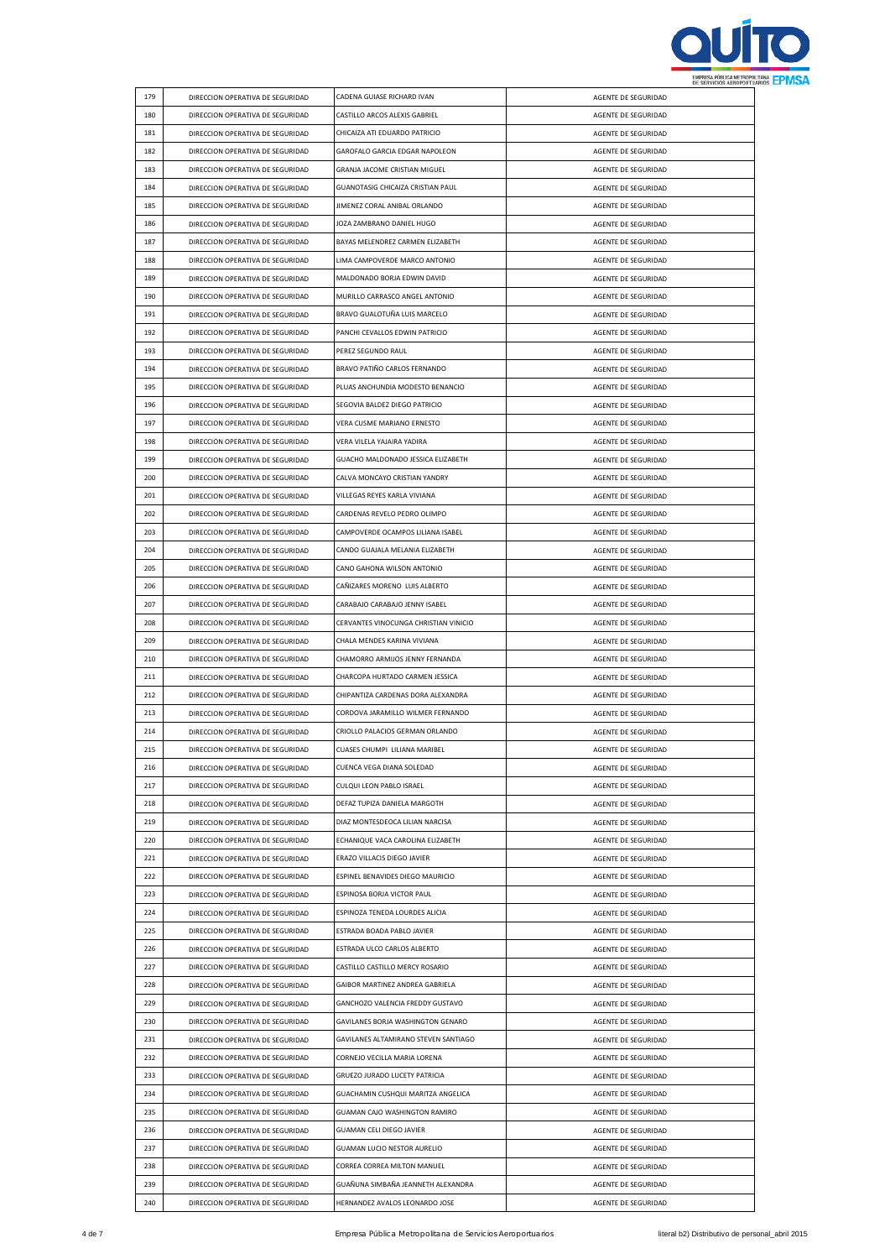

|            |                                  |                                       |                     | <b><i>DE SERVICIOS NENUPURI U</i></b> |
|------------|----------------------------------|---------------------------------------|---------------------|---------------------------------------|
| 179        | DIRECCION OPERATIVA DE SEGURIDAD | CADENA GUIASE RICHARD IVAN            | AGENTE DE SEGURIDAD |                                       |
| 180        | DIRECCION OPERATIVA DE SEGURIDAD | CASTILLO ARCOS ALEXIS GABRIEL         | AGENTE DE SEGURIDAD |                                       |
| 181        | DIRECCION OPERATIVA DE SEGURIDAD | CHICAIZA ATI EDUARDO PATRICIO         | AGENTE DE SEGURIDAD |                                       |
| 182        | DIRECCION OPERATIVA DE SEGURIDAD | GAROFALO GARCIA EDGAR NAPOLEON        | AGENTE DE SEGURIDAD |                                       |
| 183        | DIRECCION OPERATIVA DE SEGURIDAD | GRANJA JACOME CRISTIAN MIGUEL         | AGENTE DE SEGURIDAD |                                       |
| 184        | DIRECCION OPERATIVA DE SEGURIDAD | GUANOTASIG CHICAIZA CRISTIAN PAUL     | AGENTE DE SEGURIDAD |                                       |
| 185        | DIRECCION OPERATIVA DE SEGURIDAD | JIMENEZ CORAL ANIBAL ORLANDO          | AGENTE DE SEGURIDAD |                                       |
| 186        | DIRECCION OPERATIVA DE SEGURIDAD | JOZA ZAMBRANO DANIEL HUGO             | AGENTE DE SEGURIDAD |                                       |
| 187        | DIRECCION OPERATIVA DE SEGURIDAD | BAYAS MELENDREZ CARMEN ELIZABETH      | AGENTE DE SEGURIDAD |                                       |
| 188        | DIRECCION OPERATIVA DE SEGURIDAD | LIMA CAMPOVERDE MARCO ANTONIO         | AGENTE DE SEGURIDAD |                                       |
| 189        | DIRECCION OPERATIVA DE SEGURIDAD | MALDONADO BORJA EDWIN DAVID           | AGENTE DE SEGURIDAD |                                       |
| 190        | DIRECCION OPERATIVA DE SEGURIDAD | MURILLO CARRASCO ANGEL ANTONIO        | AGENTE DE SEGURIDAD |                                       |
| 191        | DIRECCION OPERATIVA DE SEGURIDAD | BRAVO GUALOTUÑA LUIS MARCELO          | AGENTE DE SEGURIDAD |                                       |
| 192        | DIRECCION OPERATIVA DE SEGURIDAD | PANCHI CEVALLOS EDWIN PATRICIO        | AGENTE DE SEGURIDAD |                                       |
| 193        | DIRECCION OPERATIVA DE SEGURIDAD | PEREZ SEGUNDO RAUL                    | AGENTE DE SEGURIDAD |                                       |
| 194        | DIRECCION OPERATIVA DE SEGURIDAD | BRAVO PATIÑO CARLOS FERNANDO          | AGENTE DE SEGURIDAD |                                       |
| 195        | DIRECCION OPERATIVA DE SEGURIDAD | PLUAS ANCHUNDIA MODESTO BENANCIO      | AGENTE DE SEGURIDAD |                                       |
| 196        | DIRECCION OPERATIVA DE SEGURIDAD | SEGOVIA BALDEZ DIEGO PATRICIO         | AGENTE DE SEGURIDAD |                                       |
| 197        | DIRECCION OPERATIVA DE SEGURIDAD | VERA CUSME MARIANO ERNESTO            | AGENTE DE SEGURIDAD |                                       |
| 198        | DIRECCION OPERATIVA DE SEGURIDAD | VERA VILELA YAJAIRA YADIRA            | AGENTE DE SEGURIDAD |                                       |
| 199        | DIRECCION OPERATIVA DE SEGURIDAD | GUACHO MALDONADO JESSICA ELIZABETH    | AGENTE DE SEGURIDAD |                                       |
| 200        | DIRECCION OPERATIVA DE SEGURIDAD | CALVA MONCAYO CRISTIAN YANDRY         | AGENTE DE SEGURIDAD |                                       |
| 201        | DIRECCION OPERATIVA DE SEGURIDAD | VILLEGAS REYES KARLA VIVIANA          | AGENTE DE SEGURIDAD |                                       |
| 202        | DIRECCION OPERATIVA DE SEGURIDAD | CARDENAS REVELO PEDRO OLIMPO          | AGENTE DE SEGURIDAD |                                       |
| 203        | DIRECCION OPERATIVA DE SEGURIDAD | CAMPOVERDE OCAMPOS LILIANA ISABEL     | AGENTE DE SEGURIDAD |                                       |
| 204        | DIRECCION OPERATIVA DE SEGURIDAD | CANDO GUAJALA MELANIA ELIZABETH       | AGENTE DE SEGURIDAD |                                       |
| 205        | DIRECCION OPERATIVA DE SEGURIDAD | CANO GAHONA WILSON ANTONIO            | AGENTE DE SEGURIDAD |                                       |
| 206        | DIRECCION OPERATIVA DE SEGURIDAD | CAÑIZARES MORENO LUIS ALBERTO         | AGENTE DE SEGURIDAD |                                       |
| 207        | DIRECCION OPERATIVA DE SEGURIDAD | CARABAJO CARABAJO JENNY ISABEL        | AGENTE DE SEGURIDAD |                                       |
| 208        | DIRECCION OPERATIVA DE SEGURIDAD | CERVANTES VINOCUNGA CHRISTIAN VINICIO | AGENTE DE SEGURIDAD |                                       |
| 209        | DIRECCION OPERATIVA DE SEGURIDAD | CHALA MENDES KARINA VIVIANA           | AGENTE DE SEGURIDAD |                                       |
| 210        | DIRECCION OPERATIVA DE SEGURIDAD | CHAMORRO ARMIJOS JENNY FERNANDA       | AGENTE DE SEGURIDAD |                                       |
| 211        | DIRECCION OPERATIVA DE SEGURIDAD | CHARCOPA HURTADO CARMEN JESSICA       | AGENTE DE SEGURIDAD |                                       |
| 212        | DIRECCION OPERATIVA DE SEGURIDAD | CHIPANTIZA CARDENAS DORA ALEXANDRA    | AGENTE DE SEGURIDAD |                                       |
| 213        | DIRECCION OPERATIVA DE SEGURIDAD | CORDOVA JARAMILLO WILMER FERNANDO     | AGENTE DE SEGURIDAD |                                       |
|            |                                  |                                       |                     |                                       |
|            |                                  |                                       |                     |                                       |
| 214        | DIRECCION OPERATIVA DE SEGURIDAD | CRIOLLO PALACIOS GERMAN ORLANDO       | AGENTE DE SEGURIDAD |                                       |
| 215        | DIRECCION OPERATIVA DE SEGURIDAD | CUASES CHUMPI LILIANA MARIBEL         | AGENTE DE SEGURIDAD |                                       |
| 216        | DIRECCION OPERATIVA DE SEGURIDAD | CUENCA VEGA DIANA SOLEDAD             | AGENTE DE SEGURIDAD |                                       |
| 217        | DIRECCION OPERATIVA DE SEGURIDAD | CULQUI LEON PABLO ISRAEL              | AGENTE DE SEGURIDAD |                                       |
| 218        | DIRECCION OPERATIVA DE SEGURIDAD | DEFAZ TUPIZA DANIELA MARGOTH          | AGENTE DE SEGURIDAD |                                       |
| 219        | DIRECCION OPERATIVA DE SEGURIDAD | DIAZ MONTESDEOCA LILIAN NARCISA       | AGENTE DE SEGURIDAD |                                       |
| 220        | DIRECCION OPERATIVA DE SEGURIDAD | ECHANIQUE VACA CAROLINA ELIZABETH     | AGENTE DE SEGURIDAD |                                       |
| 221        | DIRECCION OPERATIVA DE SEGURIDAD | ERAZO VILLACIS DIEGO JAVIER           | AGENTE DE SEGURIDAD |                                       |
| 222        | DIRECCION OPERATIVA DE SEGURIDAD | ESPINEL BENAVIDES DIEGO MAURICIO      | AGENTE DE SEGURIDAD |                                       |
| 223        | DIRECCION OPERATIVA DE SEGURIDAD | ESPINOSA BORJA VICTOR PAUL            | AGENTE DE SEGURIDAD |                                       |
| 224        | DIRECCION OPERATIVA DE SEGURIDAD | ESPINOZA TENEDA LOURDES ALICIA        | AGENTE DE SEGURIDAD |                                       |
| 225        | DIRECCION OPERATIVA DE SEGURIDAD | ESTRADA BOADA PABLO JAVIER            | AGENTE DE SEGURIDAD |                                       |
| 226        | DIRECCION OPERATIVA DE SEGURIDAD | ESTRADA ULCO CARLOS ALBERTO           | AGENTE DE SEGURIDAD |                                       |
| 227        | DIRECCION OPERATIVA DE SEGURIDAD | CASTILLO CASTILLO MERCY ROSARIO       | AGENTE DE SEGURIDAD |                                       |
| 228        | DIRECCION OPERATIVA DE SEGURIDAD | GAIBOR MARTINEZ ANDREA GABRIELA       | AGENTE DE SEGURIDAD |                                       |
| 229        | DIRECCION OPERATIVA DE SEGURIDAD | GANCHOZO VALENCIA FREDDY GUSTAVO      | AGENTE DE SEGURIDAD |                                       |
| 230        | DIRECCION OPERATIVA DE SEGURIDAD | GAVILANES BORJA WASHINGTON GENARO     | AGENTE DE SEGURIDAD |                                       |
| 231        | DIRECCION OPERATIVA DE SEGURIDAD | GAVILANES ALTAMIRANO STEVEN SANTIAGO  | AGENTE DE SEGURIDAD |                                       |
| 232        | DIRECCION OPERATIVA DE SEGURIDAD | CORNEJO VECILLA MARIA LORENA          | AGENTE DE SEGURIDAD |                                       |
| 233        | DIRECCION OPERATIVA DE SEGURIDAD | GRUEZO JURADO LUCETY PATRICIA         | AGENTE DE SEGURIDAD |                                       |
| 234        | DIRECCION OPERATIVA DE SEGURIDAD | GUACHAMIN CUSHQUI MARITZA ANGELICA    | AGENTE DE SEGURIDAD |                                       |
| 235        | DIRECCION OPERATIVA DE SEGURIDAD | GUAMAN CAJO WASHINGTON RAMIRO         | AGENTE DE SEGURIDAD |                                       |
| 236        | DIRECCION OPERATIVA DE SEGURIDAD | GUAMAN CELI DIEGO JAVIER              | AGENTE DE SEGURIDAD |                                       |
| 237        | DIRECCION OPERATIVA DE SEGURIDAD | <b>GUAMAN LUCIO NESTOR AURELIO</b>    | AGENTE DE SEGURIDAD |                                       |
| 238        | DIRECCION OPERATIVA DE SEGURIDAD | CORREA CORREA MILTON MANUEL           | AGENTE DE SEGURIDAD |                                       |
| 239<br>240 | DIRECCION OPERATIVA DE SEGURIDAD | GUAÑUNA SIMBAÑA JEANNETH ALEXANDRA    | AGENTE DE SEGURIDAD |                                       |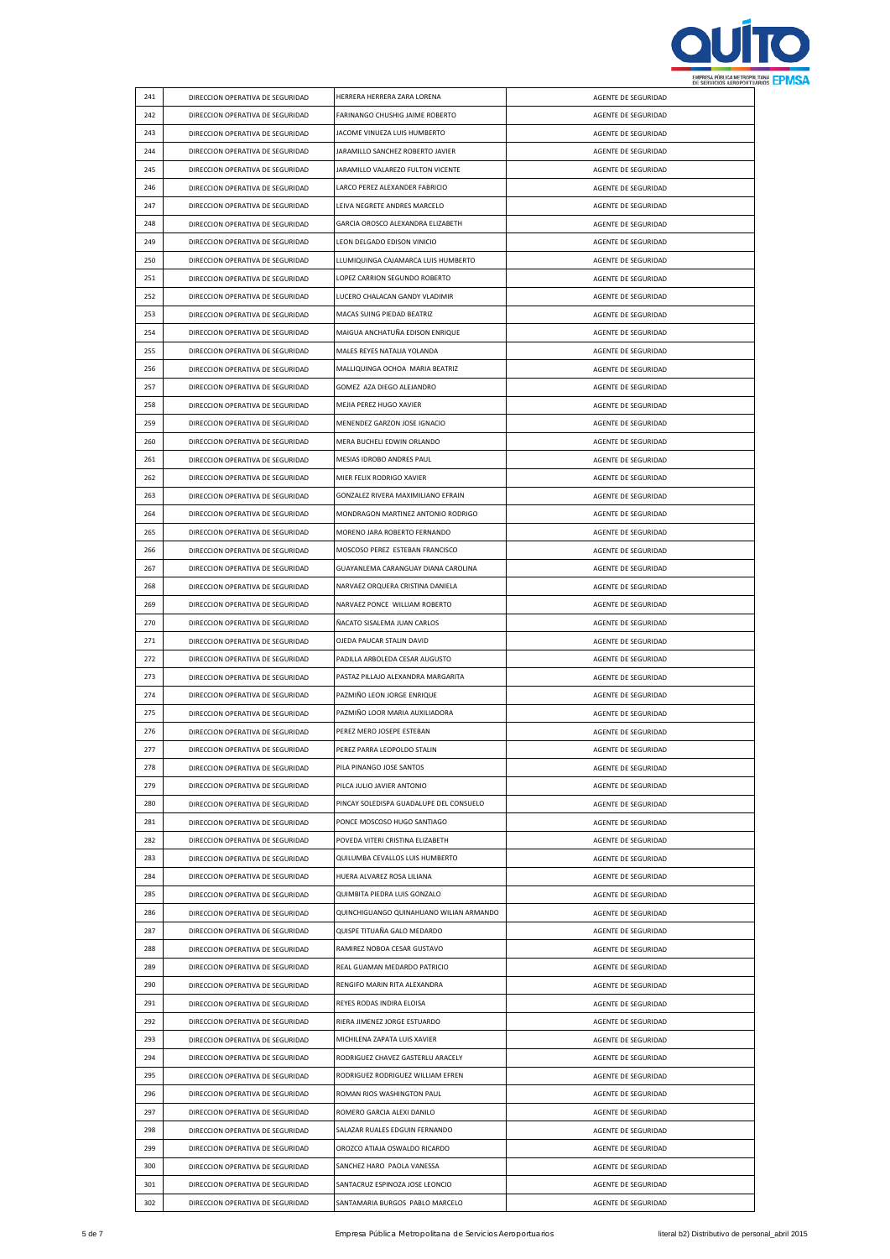

| 241 | DIRECCION OPERATIVA DE SEGURIDAD | HERRERA HERRERA ZARA LORENA             | AGENTE DE SEGURIDAD |  |
|-----|----------------------------------|-----------------------------------------|---------------------|--|
| 242 | DIRECCION OPERATIVA DE SEGURIDAD | FARINANGO CHUSHIG JAIME ROBERTO         | AGENTE DE SEGURIDAD |  |
| 243 | DIRECCION OPERATIVA DE SEGURIDAD | JACOME VINUEZA LUIS HUMBERTO            | AGENTE DE SEGURIDAD |  |
| 244 | DIRECCION OPERATIVA DE SEGURIDAD | JARAMILLO SANCHEZ ROBERTO JAVIER        | AGENTE DE SEGURIDAD |  |
| 245 | DIRECCION OPERATIVA DE SEGURIDAD | JARAMILLO VALAREZO FULTON VICENTE       | AGENTE DE SEGURIDAD |  |
| 246 | DIRECCION OPERATIVA DE SEGURIDAD | LARCO PEREZ ALEXANDER FABRICIO          | AGENTE DE SEGURIDAD |  |
| 247 | DIRECCION OPERATIVA DE SEGURIDAD | LEIVA NEGRETE ANDRES MARCELO            | AGENTE DE SEGURIDAD |  |
| 248 | DIRECCION OPERATIVA DE SEGURIDAD | GARCIA OROSCO ALEXANDRA ELIZABETH       | AGENTE DE SEGURIDAD |  |
| 249 | DIRECCION OPERATIVA DE SEGURIDAD | LEON DELGADO EDISON VINICIO             | AGENTE DE SEGURIDAD |  |
| 250 | DIRECCION OPERATIVA DE SEGURIDAD | LLUMIQUINGA CAJAMARCA LUIS HUMBERTO     | AGENTE DE SEGURIDAD |  |
| 251 |                                  | LOPEZ CARRION SEGUNDO ROBERTO           |                     |  |
|     | DIRECCION OPERATIVA DE SEGURIDAD |                                         | AGENTE DE SEGURIDAD |  |
| 252 | DIRECCION OPERATIVA DE SEGURIDAD | LUCERO CHALACAN GANDY VLADIMIR          | AGENTE DE SEGURIDAD |  |
| 253 | DIRECCION OPERATIVA DE SEGURIDAD | MACAS SUING PIEDAD BEATRIZ              | AGENTE DE SEGURIDAD |  |
| 254 | DIRECCION OPERATIVA DE SEGURIDAD | MAIGUA ANCHATUÑA EDISON ENRIQUE         | AGENTE DE SEGURIDAD |  |
| 255 | DIRECCION OPERATIVA DE SEGURIDAD | MALES REYES NATALIA YOLANDA             | AGENTE DE SEGURIDAD |  |
| 256 | DIRECCION OPERATIVA DE SEGURIDAD | MALLIQUINGA OCHOA MARIA BEATRIZ         | AGENTE DE SEGURIDAD |  |
| 257 | DIRECCION OPERATIVA DE SEGURIDAD | GOMEZ AZA DIEGO ALEJANDRO               | AGENTE DE SEGURIDAD |  |
| 258 | DIRECCION OPERATIVA DE SEGURIDAD | MEJIA PEREZ HUGO XAVIER                 | AGENTE DE SEGURIDAD |  |
| 259 | DIRECCION OPERATIVA DE SEGURIDAD | MENENDEZ GARZON JOSE IGNACIO            | AGENTE DE SEGURIDAD |  |
| 260 | DIRECCION OPERATIVA DE SEGURIDAD | MERA BUCHELI EDWIN ORLANDO              | AGENTE DE SEGURIDAD |  |
| 261 | DIRECCION OPERATIVA DE SEGURIDAD | MESIAS IDROBO ANDRES PAUL               | AGENTE DE SEGURIDAD |  |
| 262 | DIRECCION OPERATIVA DE SEGURIDAD | MIER FELIX RODRIGO XAVIER               | AGENTE DE SEGURIDAD |  |
| 263 | DIRECCION OPERATIVA DE SEGURIDAD | GONZALEZ RIVERA MAXIMILIANO EFRAIN      | AGENTE DE SEGURIDAD |  |
| 264 | DIRECCION OPERATIVA DE SEGURIDAD | MONDRAGON MARTINEZ ANTONIO RODRIGO      | AGENTE DE SEGURIDAD |  |
| 265 | DIRECCION OPERATIVA DE SEGURIDAD | MORENO JARA ROBERTO FERNANDO            | AGENTE DE SEGURIDAD |  |
| 266 | DIRECCION OPERATIVA DE SEGURIDAD | MOSCOSO PEREZ ESTEBAN FRANCISCO         | AGENTE DE SEGURIDAD |  |
| 267 | DIRECCION OPERATIVA DE SEGURIDAD | GUAYANLEMA CARANGUAY DIANA CAROLINA     | AGENTE DE SEGURIDAD |  |
| 268 | DIRECCION OPERATIVA DE SEGURIDAD | NARVAEZ ORQUERA CRISTINA DANIELA        | AGENTE DE SEGURIDAD |  |
| 269 | DIRECCION OPERATIVA DE SEGURIDAD | NARVAEZ PONCE WILLIAM ROBERTO           | AGENTE DE SEGURIDAD |  |
| 270 | DIRECCION OPERATIVA DE SEGURIDAD | ÑACATO SISALEMA JUAN CARLOS             | AGENTE DE SEGURIDAD |  |
| 271 | DIRECCION OPERATIVA DE SEGURIDAD | OJEDA PAUCAR STALIN DAVID               | AGENTE DE SEGURIDAD |  |
| 272 | DIRECCION OPERATIVA DE SEGURIDAD | PADILLA ARBOLEDA CESAR AUGUSTO          | AGENTE DE SEGURIDAD |  |
| 273 | DIRECCION OPERATIVA DE SEGURIDAD | PASTAZ PILLAJO ALEXANDRA MARGARITA      | AGENTE DE SEGURIDAD |  |
|     |                                  |                                         |                     |  |
| 274 | DIRECCION OPERATIVA DE SEGURIDAD | PAZMIÑO LEON JORGE ENRIQUE              | AGENTE DE SEGURIDAD |  |
| 275 | DIRECCION OPERATIVA DE SEGURIDAD | PAZMIÑO LOOR MARIA AUXILIADORA          | AGENTE DE SEGURIDAD |  |
| 276 | DIRECCION OPERATIVA DE SEGURIDAD | PEREZ MERO JOSEPE ESTEBAN               | AGENTE DE SEGURIDAD |  |
| 277 | DIRECCION OPERATIVA DE SEGURIDAD | PEREZ PARRA LEOPOLDO STALIN             | AGENTE DE SEGURIDAD |  |
| 278 | DIRECCION OPERATIVA DE SEGURIDAD | PILA PINANGO JOSE SANTOS                | AGENTE DE SEGURIDAD |  |
| 279 | DIRECCION OPERATIVA DE SEGURIDAD | PILCA JULIO JAVIER ANTONIO              |                     |  |
|     |                                  |                                         | AGENTE DE SEGURIDAD |  |
| 280 | DIRECCION OPERATIVA DE SEGURIDAD | PINCAY SOLEDISPA GUADALUPE DEL CONSUELO | AGENTE DE SEGURIDAD |  |
| 281 | DIRECCION OPERATIVA DE SEGURIDAD | PONCE MOSCOSO HUGO SANTIAGO             | AGENTE DE SEGURIDAD |  |
| 282 | DIRECCION OPERATIVA DE SEGURIDAD | POVEDA VITERI CRISTINA ELIZABETH        | AGENTE DE SEGURIDAD |  |
| 283 | DIRECCION OPERATIVA DE SEGURIDAD | QUILUMBA CEVALLOS LUIS HUMBERTO         | AGENTE DE SEGURIDAD |  |
| 284 | DIRECCION OPERATIVA DE SEGURIDAD | HUERA ALVAREZ ROSA LILIANA              | AGENTE DE SEGURIDAD |  |
| 285 | DIRECCION OPERATIVA DE SEGURIDAD | QUIMBITA PIEDRA LUIS GONZALO            | AGENTE DE SEGURIDAD |  |
| 286 | DIRECCION OPERATIVA DE SEGURIDAD | QUINCHIGUANGO QUINAHUANO WILIAN ARMANDO | AGENTE DE SEGURIDAD |  |
| 287 | DIRECCION OPERATIVA DE SEGURIDAD | QUISPE TITUAÑA GALO MEDARDO             | AGENTE DE SEGURIDAD |  |
| 288 | DIRECCION OPERATIVA DE SEGURIDAD | RAMIREZ NOBOA CESAR GUSTAVO             | AGENTE DE SEGURIDAD |  |
| 289 | DIRECCION OPERATIVA DE SEGURIDAD | REAL GUAMAN MEDARDO PATRICIO            | AGENTE DE SEGURIDAD |  |
| 290 | DIRECCION OPERATIVA DE SEGURIDAD | RENGIFO MARIN RITA ALEXANDRA            | AGENTE DE SEGURIDAD |  |
| 291 | DIRECCION OPERATIVA DE SEGURIDAD | REYES RODAS INDIRA ELOISA               | AGENTE DE SEGURIDAD |  |
| 292 | DIRECCION OPERATIVA DE SEGURIDAD | RIERA JIMENEZ JORGE ESTUARDO            | AGENTE DE SEGURIDAD |  |
| 293 | DIRECCION OPERATIVA DE SEGURIDAD | MICHILENA ZAPATA LUIS XAVIER            | AGENTE DE SEGURIDAD |  |
| 294 | DIRECCION OPERATIVA DE SEGURIDAD | RODRIGUEZ CHAVEZ GASTERLU ARACELY       | AGENTE DE SEGURIDAD |  |
| 295 | DIRECCION OPERATIVA DE SEGURIDAD | RODRIGUEZ RODRIGUEZ WILLIAM EFREN       | AGENTE DE SEGURIDAD |  |
| 296 | DIRECCION OPERATIVA DE SEGURIDAD | ROMAN RIOS WASHINGTON PAUL              | AGENTE DE SEGURIDAD |  |
| 297 | DIRECCION OPERATIVA DE SEGURIDAD | ROMERO GARCIA ALEXI DANILO              | AGENTE DE SEGURIDAD |  |
| 298 | DIRECCION OPERATIVA DE SEGURIDAD | SALAZAR RUALES EDGUIN FERNANDO          | AGENTE DE SEGURIDAD |  |
| 299 | DIRECCION OPERATIVA DE SEGURIDAD | OROZCO ATIAJA OSWALDO RICARDO           | AGENTE DE SEGURIDAD |  |
| 300 | DIRECCION OPERATIVA DE SEGURIDAD | SANCHEZ HARO PAOLA VANESSA              | AGENTE DE SEGURIDAD |  |
| 301 | DIRECCION OPERATIVA DE SEGURIDAD | SANTACRUZ ESPINOZA JOSE LEONCIO         | AGENTE DE SEGURIDAD |  |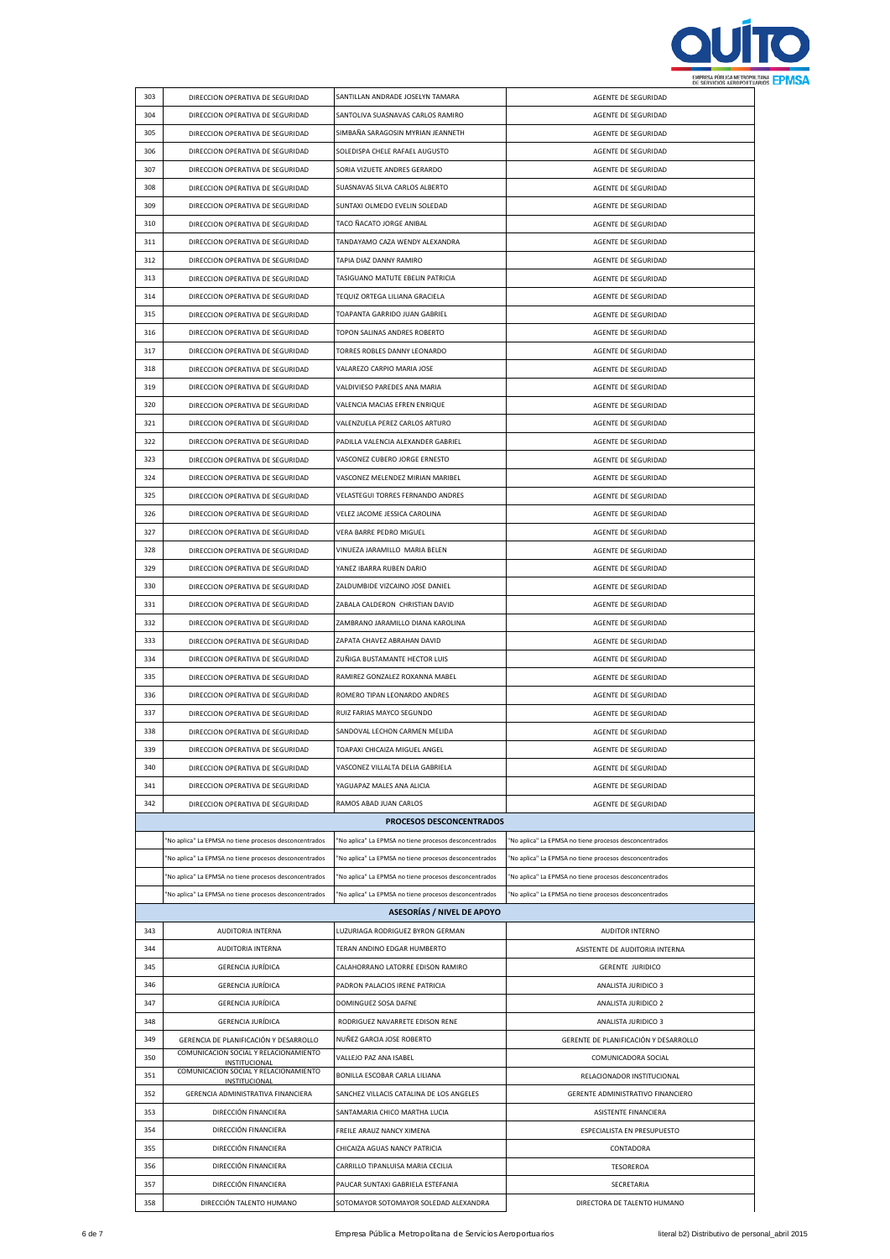

|     |                                                        |                                                        | <b><i>ME GEREIURO NERUFURI</i></b>                     |
|-----|--------------------------------------------------------|--------------------------------------------------------|--------------------------------------------------------|
| 303 | DIRECCION OPERATIVA DE SEGURIDAD                       | SANTILLAN ANDRADE JOSELYN TAMARA                       | AGENTE DE SEGURIDAD                                    |
| 304 | DIRECCION OPERATIVA DE SEGURIDAD                       | SANTOLIVA SUASNAVAS CARLOS RAMIRO                      | AGENTE DE SEGURIDAD                                    |
| 305 | DIRECCION OPERATIVA DE SEGURIDAD                       | SIMBAÑA SARAGOSIN MYRIAN JEANNETH                      | AGENTE DE SEGURIDAD                                    |
| 306 | DIRECCION OPERATIVA DE SEGURIDAD                       | SOLEDISPA CHELE RAFAEL AUGUSTO                         | AGENTE DE SEGURIDAD                                    |
| 307 | DIRECCION OPERATIVA DE SEGURIDAD                       | SORIA VIZUETE ANDRES GERARDO                           | AGENTE DE SEGURIDAD                                    |
| 308 | DIRECCION OPERATIVA DE SEGURIDAD                       | SUASNAVAS SILVA CARLOS ALBERTO                         |                                                        |
|     |                                                        |                                                        | AGENTE DE SEGURIDAD                                    |
| 309 | DIRECCION OPERATIVA DE SEGURIDAD                       | SUNTAXI OLMEDO EVELIN SOLEDAD                          | AGENTE DE SEGURIDAD                                    |
| 310 | DIRECCION OPERATIVA DE SEGURIDAD                       | TACO ÑACATO JORGE ANIBAL                               | AGENTE DE SEGURIDAD                                    |
| 311 | DIRECCION OPERATIVA DE SEGURIDAD                       | TANDAYAMO CAZA WENDY ALEXANDRA                         | AGENTE DE SEGURIDAD                                    |
| 312 | DIRECCION OPERATIVA DE SEGURIDAD                       | TAPIA DIAZ DANNY RAMIRO                                | AGENTE DE SEGURIDAD                                    |
| 313 | DIRECCION OPERATIVA DE SEGURIDAD                       | TASIGUANO MATUTE EBELIN PATRICIA                       | AGENTE DE SEGURIDAD                                    |
| 314 | DIRECCION OPERATIVA DE SEGURIDAD                       | TEQUIZ ORTEGA LILIANA GRACIELA                         | AGENTE DE SEGURIDAD                                    |
| 315 | DIRECCION OPERATIVA DE SEGURIDAD                       | TOAPANTA GARRIDO JUAN GABRIEL                          | AGENTE DE SEGURIDAD                                    |
| 316 | DIRECCION OPERATIVA DE SEGURIDAD                       | TOPON SALINAS ANDRES ROBERTO                           | AGENTE DE SEGURIDAD                                    |
| 317 | DIRECCION OPERATIVA DE SEGURIDAD                       | TORRES ROBLES DANNY LEONARDO                           | AGENTE DE SEGURIDAD                                    |
| 318 | DIRECCION OPERATIVA DE SEGURIDAD                       | VALAREZO CARPIO MARIA JOSE                             | AGENTE DE SEGURIDAD                                    |
|     |                                                        |                                                        |                                                        |
| 319 | DIRECCION OPERATIVA DE SEGURIDAD                       | VALDIVIESO PAREDES ANA MARIA                           | AGENTE DE SEGURIDAD                                    |
| 320 | DIRECCION OPERATIVA DE SEGURIDAD                       | VALENCIA MACIAS EFREN ENRIQUE                          | AGENTE DE SEGURIDAD                                    |
| 321 | DIRECCION OPERATIVA DE SEGURIDAD                       | VALENZUELA PEREZ CARLOS ARTURO                         | AGENTE DE SEGURIDAD                                    |
| 322 | DIRECCION OPERATIVA DE SEGURIDAD                       | PADILLA VALENCIA ALEXANDER GABRIEL                     | AGENTE DE SEGURIDAD                                    |
| 323 | DIRECCION OPERATIVA DE SEGURIDAD                       | VASCONEZ CUBERO JORGE ERNESTO                          | AGENTE DE SEGURIDAD                                    |
| 324 | DIRECCION OPERATIVA DE SEGURIDAD                       | VASCONEZ MELENDEZ MIRIAN MARIBEL                       | AGENTE DE SEGURIDAD                                    |
| 325 | DIRECCION OPERATIVA DE SEGURIDAD                       | VELASTEGUI TORRES FERNANDO ANDRES                      | AGENTE DE SEGURIDAD                                    |
| 326 | DIRECCION OPERATIVA DE SEGURIDAD                       | VELEZ JACOME JESSICA CAROLINA                          | AGENTE DE SEGURIDAD                                    |
| 327 | DIRECCION OPERATIVA DE SEGURIDAD                       | VERA BARRE PEDRO MIGUEL                                | AGENTE DE SEGURIDAD                                    |
|     |                                                        |                                                        |                                                        |
| 328 | DIRECCION OPERATIVA DE SEGURIDAD                       | VINUEZA JARAMILLO MARIA BELEN                          | AGENTE DE SEGURIDAD                                    |
| 329 | DIRECCION OPERATIVA DE SEGURIDAD                       | YANEZ IBARRA RUBEN DARIO                               | AGENTE DE SEGURIDAD                                    |
| 330 | DIRECCION OPERATIVA DE SEGURIDAD                       | ZALDUMBIDE VIZCAINO JOSE DANIEL                        | AGENTE DE SEGURIDAD                                    |
| 331 | DIRECCION OPERATIVA DE SEGURIDAD                       | ZABALA CALDERON CHRISTIAN DAVID                        | AGENTE DE SEGURIDAD                                    |
| 332 | DIRECCION OPERATIVA DE SEGURIDAD                       | ZAMBRANO JARAMILLO DIANA KAROLINA                      | AGENTE DE SEGURIDAD                                    |
| 333 | DIRECCION OPERATIVA DE SEGURIDAD                       | ZAPATA CHAVEZ ABRAHAN DAVID                            | AGENTE DE SEGURIDAD                                    |
| 334 | DIRECCION OPERATIVA DE SEGURIDAD                       | ZUÑIGA BUSTAMANTE HECTOR LUIS                          | AGENTE DE SEGURIDAD                                    |
| 335 | DIRECCION OPERATIVA DE SEGURIDAD                       | RAMIREZ GONZALEZ ROXANNA MABEL                         | AGENTE DE SEGURIDAD                                    |
| 336 | DIRECCION OPERATIVA DE SEGURIDAD                       | ROMERO TIPAN LEONARDO ANDRES                           | AGENTE DE SEGURIDAD                                    |
| 337 | DIRECCION OPERATIVA DE SEGURIDAD                       | RUIZ FARIAS MAYCO SEGUNDO                              | AGENTE DE SEGURIDAD                                    |
| 338 | DIRECCION OPERATIVA DE SEGURIDAD                       | SANDOVAL LECHON CARMEN MELIDA                          | AGENTE DE SEGURIDAD                                    |
| 339 | DIRECCION OPERATIVA DE SEGURIDAD                       | TOAPAXI CHICAIZA MIGUEL ANGEL                          | AGENTE DE SEGURIDAD                                    |
| 340 | DIRECCION OPERATIVA DE SEGURIDAD                       | VASCONEZ VILLALTA DELIA GABRIELA                       | AGENTE DE SEGURIDAD                                    |
| 341 | DIRECCION OPERATIVA DE SEGURIDAD                       | YAGUAPAZ MALES ANA ALICIA                              | AGENTE DE SEGURIDAD                                    |
| 342 | DIRECCION OPERATIVA DE SEGURIDAD                       | RAMOS ABAD JUAN CARLOS                                 | AGENTE DE SEGURIDAD                                    |
|     |                                                        | <b>PROCESOS DESCONCENTRADOS</b>                        |                                                        |
|     | "No aplica" La EPMSA no tiene procesos desconcentrados | "No aplica" La EPMSA no tiene procesos desconcentrados | 'No aplica" La EPMSA no tiene procesos desconcentrados |
|     | "No aplica" La EPMSA no tiene procesos desconcentrados | "No aplica" La EPMSA no tiene procesos desconcentrados | 'No aplica" La EPMSA no tiene procesos desconcentrados |
|     | "No aplica" La EPMSA no tiene procesos desconcentrados | "No aplica" La EPMSA no tiene procesos desconcentrados | 'No aplica" La EPMSA no tiene procesos desconcentrados |
|     | "No aplica" La EPMSA no tiene procesos desconcentrados | "No aplica" La EPMSA no tiene procesos desconcentrados | "No aplica" La EPMSA no tiene procesos desconcentrados |
|     |                                                        | <b>ASESORÍAS / NIVEL DE APOYO</b>                      |                                                        |
| 343 | AUDITORIA INTERNA                                      | LUZURIAGA RODRIGUEZ BYRON GERMAN                       | AUDITOR INTERNO                                        |
|     |                                                        |                                                        |                                                        |
| 344 | AUDITORIA INTERNA                                      | TERAN ANDINO EDGAR HUMBERTO                            | ASISTENTE DE AUDITORIA INTERNA                         |
| 345 | <b>GERENCIA JURÍDICA</b>                               | CALAHORRANO LATORRE EDISON RAMIRO                      | <b>GERENTE JURIDICO</b>                                |
| 346 | GERENCIA JURÍDICA                                      | PADRON PALACIOS IRENE PATRICIA                         | ANALISTA JURIDICO 3                                    |
| 347 | GERENCIA JURÍDICA                                      | DOMINGUEZ SOSA DAFNE                                   | ANALISTA JURIDICO 2                                    |
| 348 | <b>GERENCIA JURÍDICA</b>                               | RODRIGUEZ NAVARRETE EDISON RENE                        | ANALISTA JURIDICO 3                                    |
| 349 | GERENCIA DE PLANIFICACIÓN Y DESARROLLO                 | NUÑEZ GARCIA JOSE ROBERTO                              | GERENTE DE PLANIFICACIÓN Y DESARROLLO                  |
| 350 | COMUNICACION SOCIAL Y RELACIONAMIENTO<br>INSTITUCIONAL | VALLEJO PAZ ANA ISABEL                                 | COMUNICADORA SOCIAL                                    |
| 351 | COMUNICACION SOCIAL Y RELACIONAMIENTO<br>INSTITUCIONAL | BONILLA ESCOBAR CARLA LILIANA                          | RELACIONADOR INSTITUCIONAL                             |
| 352 | GERENCIA ADMINISTRATIVA FINANCIERA                     | SANCHEZ VILLACIS CATALINA DE LOS ANGELES               | GERENTE ADMINISTRATIVO FINANCIERO                      |
| 353 | DIRECCIÓN FINANCIERA                                   | SANTAMARIA CHICO MARTHA LUCIA                          | ASISTENTE FINANCIERA                                   |
| 354 | DIRECCIÓN FINANCIERA                                   | FREILE ARAUZ NANCY XIMENA                              | ESPECIALISTA EN PRESUPUESTO                            |
| 355 | DIRECCIÓN FINANCIERA                                   | CHICAIZA AGUAS NANCY PATRICIA                          | CONTADORA                                              |
| 356 | DIRECCIÓN FINANCIERA                                   | CARRILLO TIPANLUISA MARIA CECILIA                      | TESOREROA                                              |
| 357 | DIRECCIÓN FINANCIERA                                   | PAUCAR SUNTAXI GABRIELA ESTEFANIA                      | SECRETARIA                                             |
| 358 | DIRECCIÓN TALENTO HUMANO                               | SOTOMAYOR SOTOMAYOR SOLEDAD ALEXANDRA                  | DIRECTORA DE TALENTO HUMANO                            |
|     |                                                        |                                                        |                                                        |